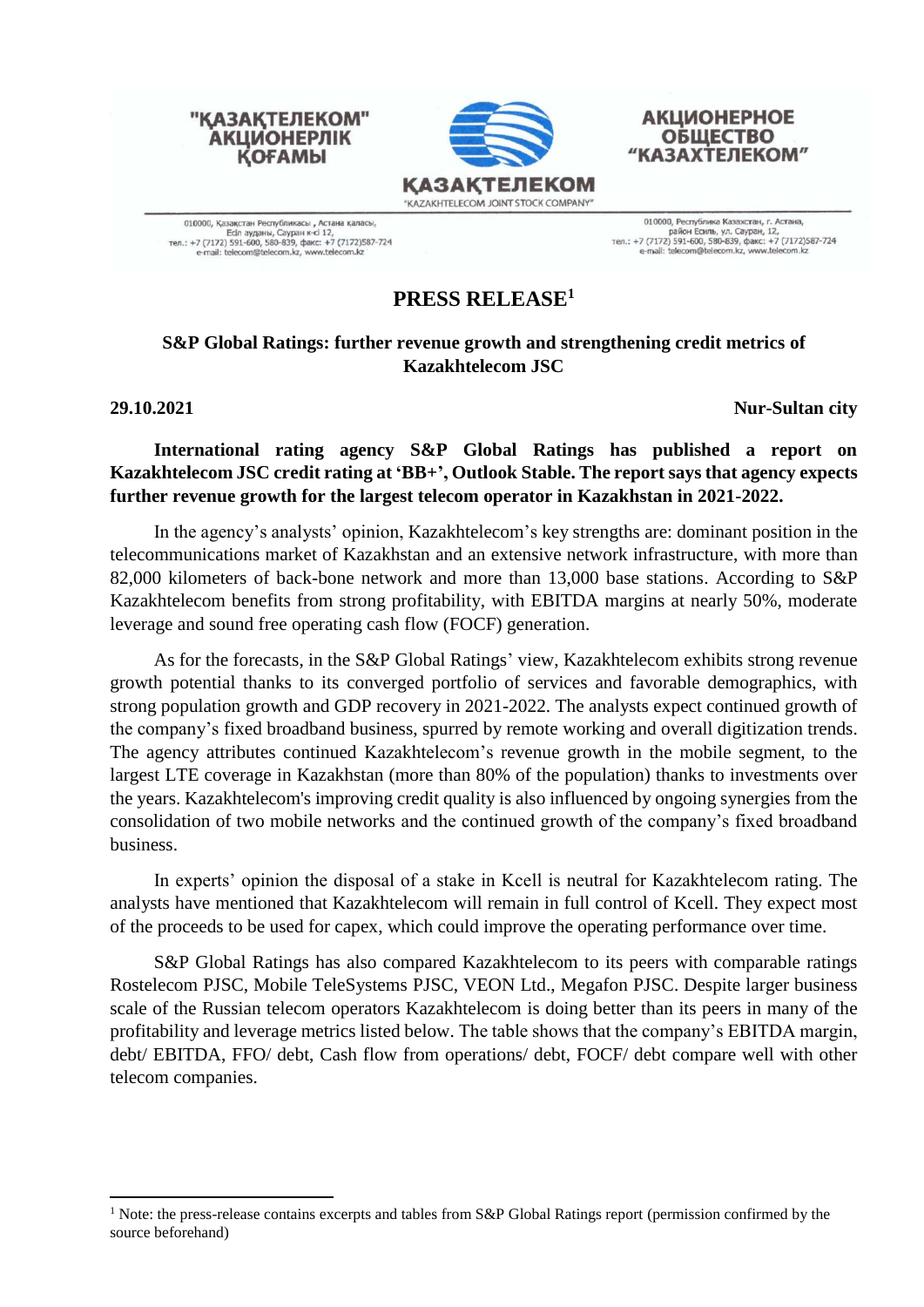

010000, Қазақстан Республикасы , Астана қаласы,<br>Есіл ауданы, Сауран к-сі 12,<br>тел.: +7 (7172) 591-600, 580-839, факс: +7 (7172)587-724 ail: telecom@telecom.kz, www.telecom.kz

"КАЗАКТЕЛЕКОМ"

**АКЦИОНЕРЛІК** 

**КОҒАМЫ** 

010000, Республика Казахстан, г. Астана,<br>район Есиль, ул. Сауран, 12,<br>тел.: +7 (7172) 591-600, 580-839, факс: +7 (7172)587-724 lecom@telecom.kz. www.telecom.kz

**АКЦИОНЕРНОЕ** 

**ОБЩЕСТВО** 

**"КАЗАХТЕЛЕКОМ"** 

## **PRESS RELEASE<sup>1</sup>**

### **S&P Global Ratings: further revenue growth and strengthening credit metrics of Kazakhtelecom JSC**

**29.10.2021 Nur-Sultan city**

## **International rating agency S&P Global Ratings has published a report on Kazakhtelecom JSC credit rating at 'BB+', Outlook Stable. The report says that agency expects further revenue growth for the largest telecom operator in Kazakhstan in 2021-2022.**

In the agency's analysts' opinion, Kazakhtelecom's key strengths are: dominant position in the telecommunications market of Kazakhstan and an extensive network infrastructure, with more than 82,000 kilometers of back-bone network and more than 13,000 base stations. According to S&P Kazakhtelecom benefits from strong profitability, with EBITDA margins at nearly 50%, moderate leverage and sound free operating cash flow (FOCF) generation.

As for the forecasts, in the S&P Global Ratings' view, Kazakhtelecom exhibits strong revenue growth potential thanks to its converged portfolio of services and favorable demographics, with strong population growth and GDP recovery in 2021-2022. The analysts expect continued growth of the company's fixed broadband business, spurred by remote working and overall digitization trends. The agency attributes continued Kazakhtelecom's revenue growth in the mobile segment, to the largest LTE coverage in Kazakhstan (more than 80% of the population) thanks to investments over the years. Kazakhtelecom's improving credit quality is also influenced by ongoing synergies from the consolidation of two mobile networks and the continued growth of the company's fixed broadband business.

In experts' opinion the disposal of a stake in Kcell is neutral for Kazakhtelecom rating. The analysts have mentioned that Kazakhtelecom will remain in full control of Kcell. They expect most of the proceeds to be used for capex, which could improve the operating performance over time.

S&P Global Ratings has also compared Kazakhtelecom to its peers with comparable ratings Rostelecom PJSC, Mobile TeleSystems PJSC, VEON Ltd., Megafon PJSC. Despite larger business scale of the Russian telecom operators Kazakhtelecom is doing better than its peers in many of the profitability and leverage metrics listed below. The table shows that the company's EBITDA margin, debt/ EBITDA, FFO/ debt, Cash flow from operations/ debt, FOCF/ debt compare well with other telecom companies.

<sup>&</sup>lt;sup>1</sup> Note: the press-release contains excerpts and tables from S&P Global Ratings report (permission confirmed by the source beforehand)